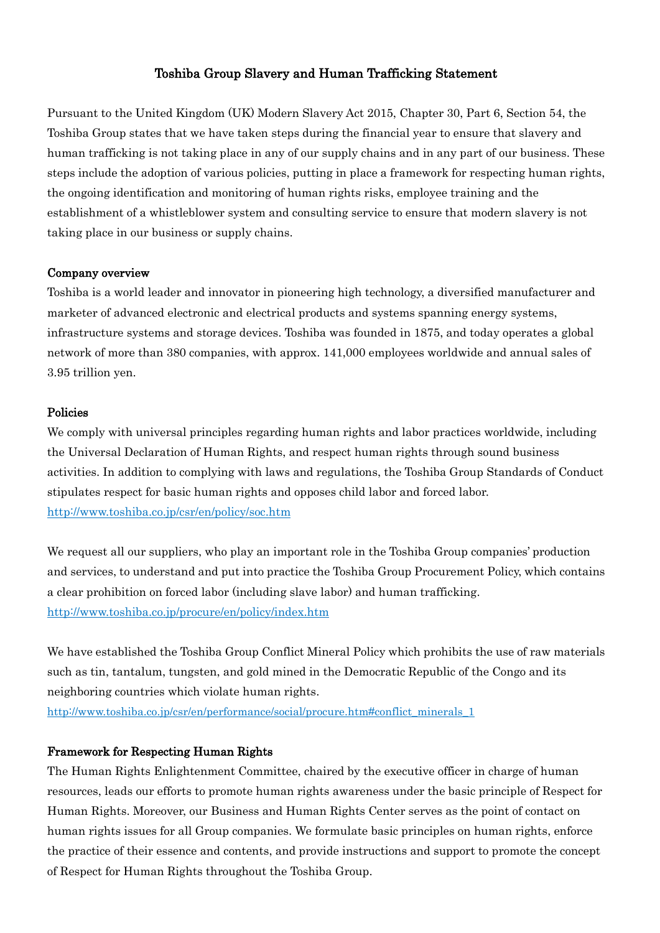# Toshiba Group Slavery and Human Trafficking Statement

Pursuant to the United Kingdom (UK) Modern Slavery Act 2015, Chapter 30, Part 6, Section 54, the Toshiba Group states that we have taken steps during the financial year to ensure that slavery and human trafficking is not taking place in any of our supply chains and in any part of our business. These steps include the adoption of various policies, putting in place a framework for respecting human rights, the ongoing identification and monitoring of human rights risks, employee training and the establishment of a whistleblower system and consulting service to ensure that modern slavery is not taking place in our business or supply chains.

#### Company overview

Toshiba is a world leader and innovator in pioneering high technology, a diversified manufacturer and marketer of advanced electronic and electrical products and systems spanning energy systems, infrastructure systems and storage devices. Toshiba was founded in 1875, and today operates a global network of more than 380 companies, with approx. 141,000 employees worldwide and annual sales of 3.95 trillion yen.

#### Policies

We comply with universal principles regarding human rights and labor practices worldwide, including the Universal Declaration of Human Rights, and respect human rights through sound business activities. In addition to complying with laws and regulations, the Toshiba Group Standards of Conduct stipulates respect for basic human rights and opposes child labor and forced labor. <http://www.toshiba.co.jp/csr/en/policy/soc.htm>

We request all our suppliers, who play an important role in the Toshiba Group companies' production and services, to understand and put into practice the Toshiba Group Procurement Policy, which contains a clear prohibition on forced labor (including slave labor) and human trafficking. <http://www.toshiba.co.jp/procure/en/policy/index.htm>

We have established the Toshiba Group Conflict Mineral Policy which prohibits the use of raw materials such as tin, tantalum, tungsten, and gold mined in the Democratic Republic of the Congo and its neighboring countries which violate human rights.

[http://www.toshiba.co.jp/csr/en/performance/social/procure.htm#conflict\\_minerals\\_1](http://www.toshiba.co.jp/csr/en/performance/social/procure.htm#conflict_minerals_1)

## Framework for Respecting Human Rights

The Human Rights Enlightenment Committee, chaired by the executive officer in charge of human resources, leads our efforts to promote human rights awareness under the basic principle of Respect for Human Rights. Moreover, our Business and Human Rights Center serves as the point of contact on human rights issues for all Group companies. We formulate basic principles on human rights, enforce the practice of their essence and contents, and provide instructions and support to promote the concept of Respect for Human Rights throughout the Toshiba Group.